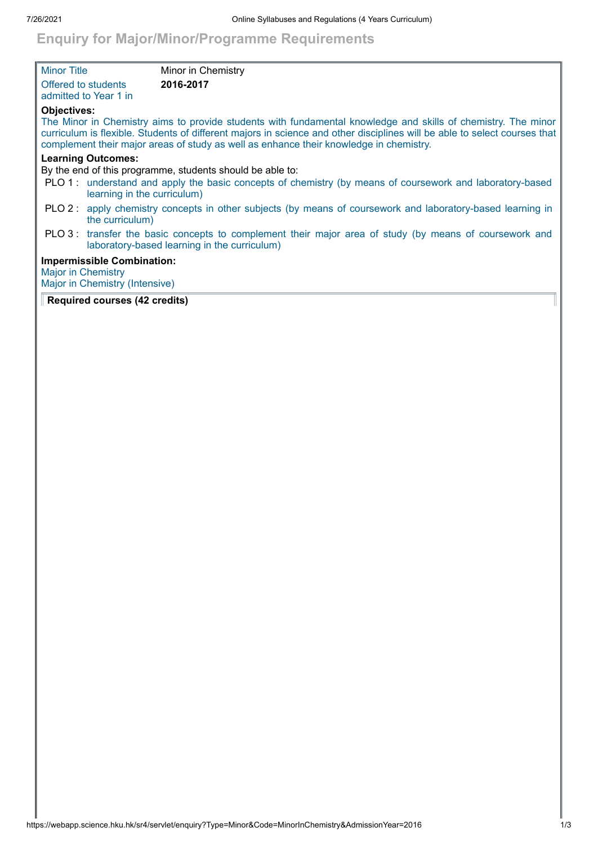## **Enquiry for Major/Minor/Programme Requirements**

| <b>Minor Title</b>        |                                                                     | Minor in Chemistry                                                                                                                                                                                                                                                                                                                   |
|---------------------------|---------------------------------------------------------------------|--------------------------------------------------------------------------------------------------------------------------------------------------------------------------------------------------------------------------------------------------------------------------------------------------------------------------------------|
|                           | Offered to students<br>admitted to Year 1 in                        | 2016-2017                                                                                                                                                                                                                                                                                                                            |
| <b>Objectives:</b>        |                                                                     | The Minor in Chemistry aims to provide students with fundamental knowledge and skills of chemistry. The minor<br>curriculum is flexible. Students of different majors in science and other disciplines will be able to select courses that<br>complement their major areas of study as well as enhance their knowledge in chemistry. |
|                           | <b>Learning Outcomes:</b>                                           | By the end of this programme, students should be able to:                                                                                                                                                                                                                                                                            |
|                           | learning in the curriculum)                                         | PLO 1: understand and apply the basic concepts of chemistry (by means of coursework and laboratory-based                                                                                                                                                                                                                             |
|                           | the curriculum)                                                     | PLO 2: apply chemistry concepts in other subjects (by means of coursework and laboratory-based learning in                                                                                                                                                                                                                           |
|                           |                                                                     | PLO 3: transfer the basic concepts to complement their major area of study (by means of coursework and<br>laboratory-based learning in the curriculum)                                                                                                                                                                               |
| <b>Major in Chemistry</b> | <b>Impermissible Combination:</b><br>Major in Chemistry (Intensive) |                                                                                                                                                                                                                                                                                                                                      |

## **Required courses (42 credits)**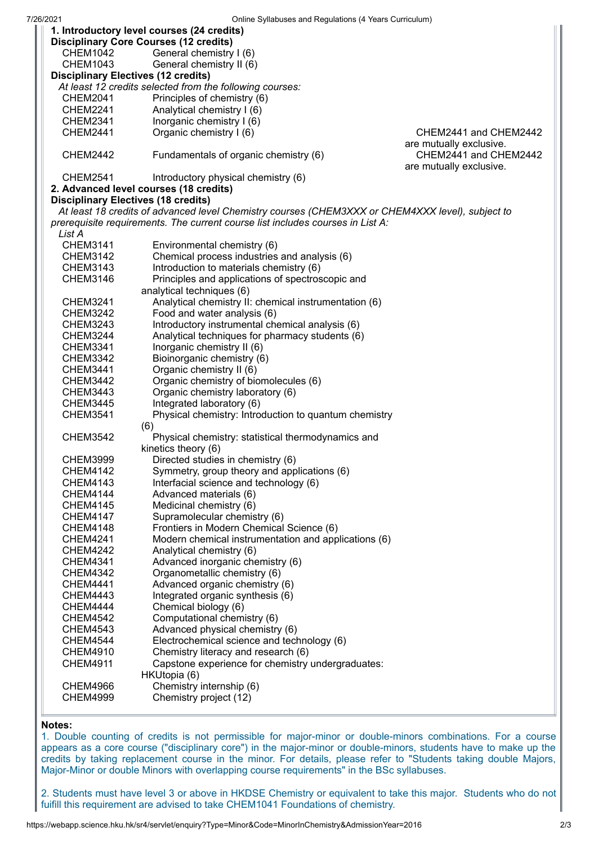| Unline Oyliabuses and Regulations (+ Tears Curriculum)<br>1. Introductory level courses (24 credits) |                                                                                                  |                         |  |  |  |
|------------------------------------------------------------------------------------------------------|--------------------------------------------------------------------------------------------------|-------------------------|--|--|--|
| <b>Disciplinary Core Courses (12 credits)</b>                                                        |                                                                                                  |                         |  |  |  |
| <b>CHEM1042</b>                                                                                      | General chemistry I (6)                                                                          |                         |  |  |  |
| <b>CHEM1043</b>                                                                                      | General chemistry II (6)<br><b>Disciplinary Electives (12 credits)</b>                           |                         |  |  |  |
|                                                                                                      | At least 12 credits selected from the following courses:                                         |                         |  |  |  |
| <b>CHEM2041</b>                                                                                      | Principles of chemistry (6)                                                                      |                         |  |  |  |
| <b>CHEM2241</b>                                                                                      | Analytical chemistry I (6)                                                                       |                         |  |  |  |
| <b>CHEM2341</b>                                                                                      | Inorganic chemistry I (6)                                                                        |                         |  |  |  |
| <b>CHEM2441</b>                                                                                      | Organic chemistry I (6)                                                                          | CHEM2441 and CHEM2442   |  |  |  |
|                                                                                                      |                                                                                                  | are mutually exclusive. |  |  |  |
| <b>CHEM2442</b>                                                                                      | Fundamentals of organic chemistry (6)                                                            | CHEM2441 and CHEM2442   |  |  |  |
|                                                                                                      |                                                                                                  | are mutually exclusive. |  |  |  |
| <b>CHEM2541</b><br>Introductory physical chemistry (6)                                               |                                                                                                  |                         |  |  |  |
|                                                                                                      | 2. Advanced level courses (18 credits)                                                           |                         |  |  |  |
|                                                                                                      | <b>Disciplinary Electives (18 credits)</b>                                                       |                         |  |  |  |
|                                                                                                      | At least 18 credits of advanced level Chemistry courses (CHEM3XXX or CHEM4XXX level), subject to |                         |  |  |  |
|                                                                                                      | prerequisite requirements. The current course list includes courses in List A:                   |                         |  |  |  |
| List A                                                                                               |                                                                                                  |                         |  |  |  |
| <b>CHEM3141</b>                                                                                      | Environmental chemistry (6)                                                                      |                         |  |  |  |
| CHEM3142                                                                                             | Chemical process industries and analysis (6)                                                     |                         |  |  |  |
| <b>CHEM3143</b>                                                                                      | Introduction to materials chemistry (6)                                                          |                         |  |  |  |
| <b>CHEM3146</b>                                                                                      | Principles and applications of spectroscopic and                                                 |                         |  |  |  |
|                                                                                                      | analytical techniques (6)                                                                        |                         |  |  |  |
| <b>CHEM3241</b>                                                                                      | Analytical chemistry II: chemical instrumentation (6)                                            |                         |  |  |  |
| <b>CHEM3242</b>                                                                                      | Food and water analysis (6)                                                                      |                         |  |  |  |
| <b>CHEM3243</b>                                                                                      | Introductory instrumental chemical analysis (6)                                                  |                         |  |  |  |
| <b>CHEM3244</b>                                                                                      | Analytical techniques for pharmacy students (6)                                                  |                         |  |  |  |
| <b>CHEM3341</b>                                                                                      | Inorganic chemistry II (6)                                                                       |                         |  |  |  |
| <b>CHEM3342</b><br><b>CHEM3441</b>                                                                   | Bioinorganic chemistry (6)                                                                       |                         |  |  |  |
| <b>CHEM3442</b>                                                                                      | Organic chemistry II (6)                                                                         |                         |  |  |  |
| <b>CHEM3443</b>                                                                                      | Organic chemistry of biomolecules (6)<br>Organic chemistry laboratory (6)                        |                         |  |  |  |
| <b>CHEM3445</b>                                                                                      | Integrated laboratory (6)                                                                        |                         |  |  |  |
| <b>CHEM3541</b>                                                                                      | Physical chemistry: Introduction to quantum chemistry                                            |                         |  |  |  |
|                                                                                                      | (6)                                                                                              |                         |  |  |  |
| <b>CHEM3542</b>                                                                                      | Physical chemistry: statistical thermodynamics and                                               |                         |  |  |  |
|                                                                                                      | kinetics theory (6)                                                                              |                         |  |  |  |
| <b>CHEM3999</b>                                                                                      | Directed studies in chemistry (6)                                                                |                         |  |  |  |
| <b>CHEM4142</b>                                                                                      | Symmetry, group theory and applications (6)                                                      |                         |  |  |  |
| <b>CHEM4143</b>                                                                                      | Interfacial science and technology (6)                                                           |                         |  |  |  |
| <b>CHEM4144</b>                                                                                      | Advanced materials (6)                                                                           |                         |  |  |  |
| <b>CHEM4145</b>                                                                                      | Medicinal chemistry (6)                                                                          |                         |  |  |  |
| <b>CHEM4147</b>                                                                                      | Supramolecular chemistry (6)                                                                     |                         |  |  |  |
| <b>CHEM4148</b>                                                                                      | Frontiers in Modern Chemical Science (6)                                                         |                         |  |  |  |
| <b>CHEM4241</b>                                                                                      | Modern chemical instrumentation and applications (6)                                             |                         |  |  |  |
| <b>CHEM4242</b>                                                                                      | Analytical chemistry (6)                                                                         |                         |  |  |  |
| <b>CHEM4341</b>                                                                                      | Advanced inorganic chemistry (6)                                                                 |                         |  |  |  |
| <b>CHEM4342</b>                                                                                      | Organometallic chemistry (6)                                                                     |                         |  |  |  |
| <b>CHEM4441</b>                                                                                      | Advanced organic chemistry (6)                                                                   |                         |  |  |  |
| <b>CHEM4443</b>                                                                                      | Integrated organic synthesis (6)                                                                 |                         |  |  |  |
| <b>CHEM4444</b>                                                                                      | Chemical biology (6)                                                                             |                         |  |  |  |
| <b>CHEM4542</b>                                                                                      | Computational chemistry (6)                                                                      |                         |  |  |  |
| <b>CHEM4543</b>                                                                                      | Advanced physical chemistry (6)                                                                  |                         |  |  |  |
| <b>CHEM4544</b>                                                                                      | Electrochemical science and technology (6)                                                       |                         |  |  |  |
| <b>CHEM4910</b>                                                                                      | Chemistry literacy and research (6)                                                              |                         |  |  |  |
| <b>CHEM4911</b>                                                                                      | Capstone experience for chemistry undergraduates:                                                |                         |  |  |  |
| <b>CHEM4966</b>                                                                                      | HKUtopia (6)<br>Chemistry internship (6)                                                         |                         |  |  |  |
| <b>CHEM4999</b>                                                                                      | Chemistry project (12)                                                                           |                         |  |  |  |
|                                                                                                      |                                                                                                  |                         |  |  |  |
|                                                                                                      |                                                                                                  |                         |  |  |  |

## **Notes:**

1. Double counting of credits is not permissible for major-minor or double-minors combinations. For a course appears as a core course ("disciplinary core") in the major-minor or double-minors, students have to make up the credits by taking replacement course in the minor. For details, please refer to "Students taking double Majors, Major-Minor or double Minors with overlapping course requirements" in the BSc syllabuses.

2. Students must have level 3 or above in HKDSE Chemistry or equivalent to take this major. Students who do not fuifill this requirement are advised to take CHEM1041 Foundations of chemistry.